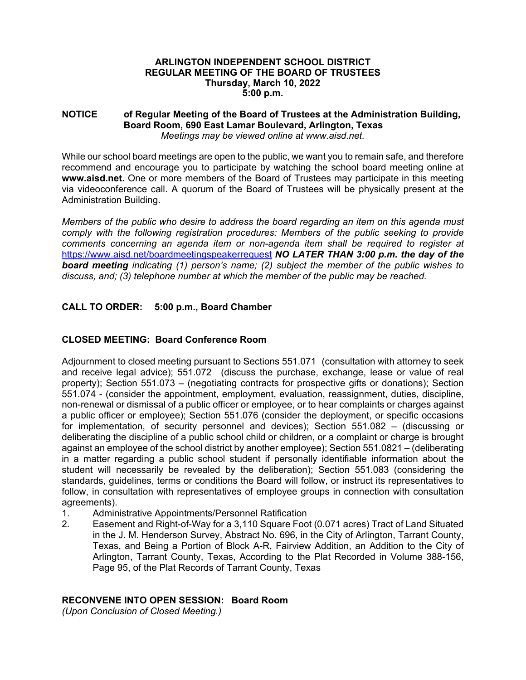### **ARLINGTON INDEPENDENT SCHOOL DISTRICT REGULAR MEETING OF THE BOARD OF TRUSTEES Thursday, March 10, 2022 5:00 p.m.**

### **NOTICE of Regular Meeting of the Board of Trustees at the Administration Building, Board Room, 690 East Lamar Boulevard, Arlington, Texas**  *Meetings may be viewed online at www.aisd.net.*

While our school board meetings are open to the public, we want you to remain safe, and therefore recommend and encourage you to participate by watching the school board meeting online at **www.aisd.net.** One or more members of the Board of Trustees may participate in this meeting via videoconference call. A quorum of the Board of Trustees will be physically present at the Administration Building.

*Members of the public who desire to address the board regarding an item on this agenda must comply with the following registration procedures: Members of the public seeking to provide comments concerning an agenda item or non-agenda item shall be required to register at*  https://www.aisd.net/boardmeetingspeakerrequest *NO LATER THAN 3:00 p.m. the day of the board meeting indicating (1) person's name; (2) subject the member of the public wishes to discuss, and; (3) telephone number at which the member of the public may be reached.* 

# **CALL TO ORDER: 5:00 p.m., Board Chamber**

# **CLOSED MEETING: Board Conference Room**

Adjournment to closed meeting pursuant to Sections 551.071 (consultation with attorney to seek and receive legal advice); 551.072 (discuss the purchase, exchange, lease or value of real property); Section 551.073 – (negotiating contracts for prospective gifts or donations); Section 551.074 - (consider the appointment, employment, evaluation, reassignment, duties, discipline, non-renewal or dismissal of a public officer or employee, or to hear complaints or charges against a public officer or employee); Section 551.076 (consider the deployment, or specific occasions for implementation, of security personnel and devices); Section 551.082 – (discussing or deliberating the discipline of a public school child or children, or a complaint or charge is brought against an employee of the school district by another employee); Section 551.0821 – (deliberating in a matter regarding a public school student if personally identifiable information about the student will necessarily be revealed by the deliberation); Section 551.083 (considering the standards, guidelines, terms or conditions the Board will follow, or instruct its representatives to follow, in consultation with representatives of employee groups in connection with consultation agreements).

- 1. Administrative Appointments/Personnel Ratification
- 2. Easement and Right-of-Way for a 3,110 Square Foot (0.071 acres) Tract of Land Situated in the J. M. Henderson Survey, Abstract No. 696, in the City of Arlington, Tarrant County, Texas, and Being a Portion of Block A-R, Fairview Addition, an Addition to the City of Arlington, Tarrant County, Texas, According to the Plat Recorded in Volume 388-156, Page 95, of the Plat Records of Tarrant County, Texas

## **RECONVENE INTO OPEN SESSION: Board Room**

*(Upon Conclusion of Closed Meeting.)*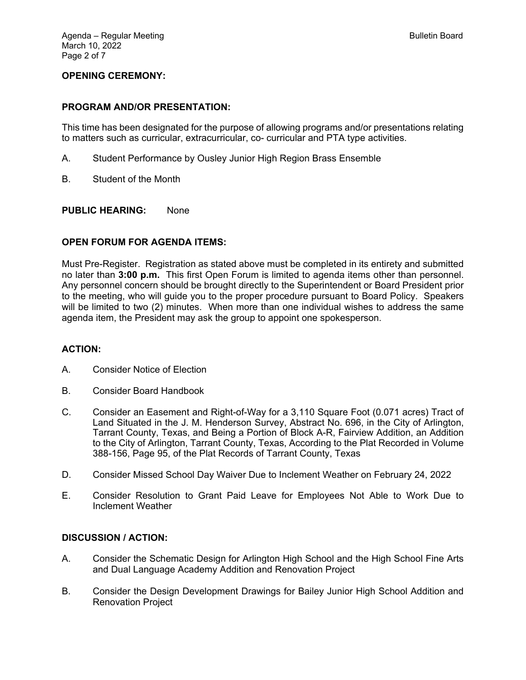## **OPENING CEREMONY:**

#### **PROGRAM AND/OR PRESENTATION:**

This time has been designated for the purpose of allowing programs and/or presentations relating to matters such as curricular, extracurricular, co- curricular and PTA type activities.

- A. Student Performance by Ousley Junior High Region Brass Ensemble
- B. Student of the Month

#### **PUBLIC HEARING:** None

### **OPEN FORUM FOR AGENDA ITEMS:**

Must Pre-Register. Registration as stated above must be completed in its entirety and submitted no later than **3:00 p.m.** This first Open Forum is limited to agenda items other than personnel. Any personnel concern should be brought directly to the Superintendent or Board President prior to the meeting, who will guide you to the proper procedure pursuant to Board Policy. Speakers will be limited to two (2) minutes. When more than one individual wishes to address the same agenda item, the President may ask the group to appoint one spokesperson.

#### **ACTION:**

- A. Consider Notice of Election
- B. Consider Board Handbook
- C. Consider an Easement and Right-of-Way for a 3,110 Square Foot (0.071 acres) Tract of Land Situated in the J. M. Henderson Survey, Abstract No. 696, in the City of Arlington, Tarrant County, Texas, and Being a Portion of Block A-R, Fairview Addition, an Addition to the City of Arlington, Tarrant County, Texas, According to the Plat Recorded in Volume 388-156, Page 95, of the Plat Records of Tarrant County, Texas
- D. Consider Missed School Day Waiver Due to Inclement Weather on February 24, 2022
- E. Consider Resolution to Grant Paid Leave for Employees Not Able to Work Due to Inclement Weather

### **DISCUSSION / ACTION:**

- A. Consider the Schematic Design for Arlington High School and the High School Fine Arts and Dual Language Academy Addition and Renovation Project
- B. Consider the Design Development Drawings for Bailey Junior High School Addition and Renovation Project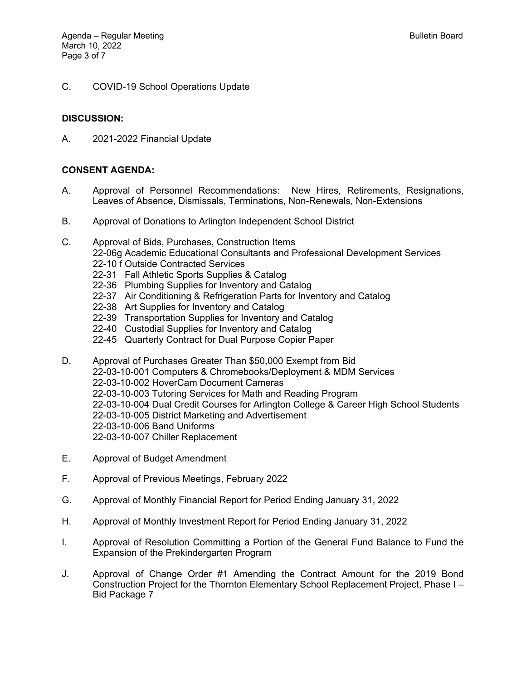C. COVID-19 School Operations Update

## **DISCUSSION:**

A. 2021-2022 Financial Update

## **CONSENT AGENDA:**

- A. Approval of Personnel Recommendations: New Hires, Retirements, Resignations, Leaves of Absence, Dismissals, Terminations, Non-Renewals, Non-Extensions
- B. Approval of Donations to Arlington Independent School District
- C. Approval of Bids, Purchases, Construction Items 22-06g Academic Educational Consultants and Professional Development Services 22-10 f Outside Contracted Services
	- 22-31 Fall Athletic Sports Supplies & Catalog
	- 22-36 Plumbing Supplies for Inventory and Catalog
	- 22-37 Air Conditioning & Refrigeration Parts for Inventory and Catalog
	- 22-38 Art Supplies for Inventory and Catalog
	- 22-39 Transportation Supplies for Inventory and Catalog
	- 22-40 Custodial Supplies for Inventory and Catalog
	- 22-45 Quarterly Contract for Dual Purpose Copier Paper
- D. Approval of Purchases Greater Than \$50,000 Exempt from Bid 22-03-10-001 Computers & Chromebooks/Deployment & MDM Services 22-03-10-002 HoverCam Document Cameras 22-03-10-003 Tutoring Services for Math and Reading Program 22-03-10-004 Dual Credit Courses for Arlington College & Career High School Students 22-03-10-005 District Marketing and Advertisement 22-03-10-006 Band Uniforms 22-03-10-007 Chiller Replacement
- E. Approval of Budget Amendment
- F. Approval of Previous Meetings, February 2022
- G. Approval of Monthly Financial Report for Period Ending January 31, 2022
- H. Approval of Monthly Investment Report for Period Ending January 31, 2022
- I. Approval of Resolution Committing a Portion of the General Fund Balance to Fund the Expansion of the Prekindergarten Program
- J. Approval of Change Order #1 Amending the Contract Amount for the 2019 Bond Construction Project for the Thornton Elementary School Replacement Project, Phase I – Bid Package 7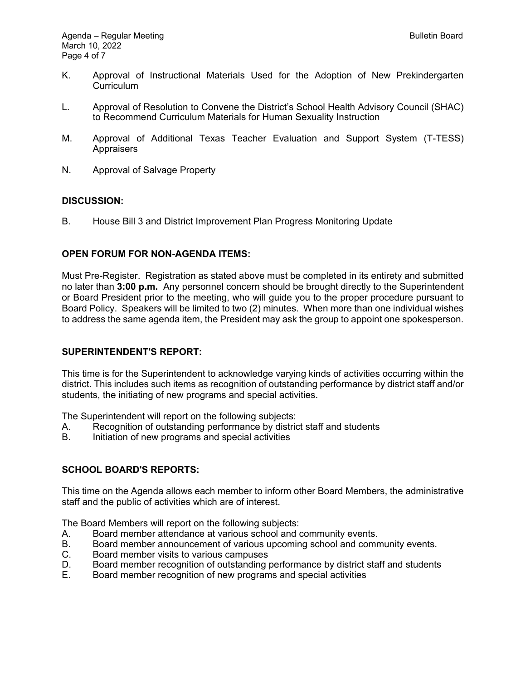- K. Approval of Instructional Materials Used for the Adoption of New Prekindergarten Curriculum
- L. Approval of Resolution to Convene the District's School Health Advisory Council (SHAC) to Recommend Curriculum Materials for Human Sexuality Instruction
- M. Approval of Additional Texas Teacher Evaluation and Support System (T-TESS) **Appraisers**
- N. Approval of Salvage Property

## **DISCUSSION:**

B. House Bill 3 and District Improvement Plan Progress Monitoring Update

## **OPEN FORUM FOR NON-AGENDA ITEMS:**

Must Pre-Register. Registration as stated above must be completed in its entirety and submitted no later than **3:00 p.m.** Any personnel concern should be brought directly to the Superintendent or Board President prior to the meeting, who will guide you to the proper procedure pursuant to Board Policy. Speakers will be limited to two (2) minutes. When more than one individual wishes to address the same agenda item, the President may ask the group to appoint one spokesperson.

### **SUPERINTENDENT'S REPORT:**

This time is for the Superintendent to acknowledge varying kinds of activities occurring within the district. This includes such items as recognition of outstanding performance by district staff and/or students, the initiating of new programs and special activities.

The Superintendent will report on the following subjects:

- A. Recognition of outstanding performance by district staff and students
- B. Initiation of new programs and special activities

## **SCHOOL BOARD'S REPORTS:**

This time on the Agenda allows each member to inform other Board Members, the administrative staff and the public of activities which are of interest.

The Board Members will report on the following subjects:

- A. Board member attendance at various school and community events.
- B. Board member announcement of various upcoming school and community events.
- C. Board member visits to various campuses
- D. Board member recognition of outstanding performance by district staff and students
- E. Board member recognition of new programs and special activities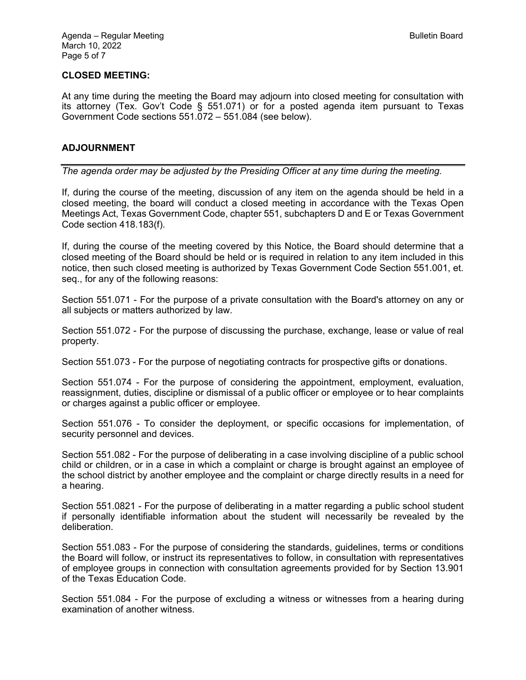### **CLOSED MEETING:**

At any time during the meeting the Board may adjourn into closed meeting for consultation with its attorney (Tex. Gov't Code § 551.071) or for a posted agenda item pursuant to Texas Government Code sections 551.072 – 551.084 (see below).

#### **ADJOURNMENT**

*The agenda order may be adjusted by the Presiding Officer at any time during the meeting.* 

If, during the course of the meeting, discussion of any item on the agenda should be held in a closed meeting, the board will conduct a closed meeting in accordance with the Texas Open Meetings Act, Texas Government Code, chapter 551, subchapters D and E or Texas Government Code section 418.183(f).

If, during the course of the meeting covered by this Notice, the Board should determine that a closed meeting of the Board should be held or is required in relation to any item included in this notice, then such closed meeting is authorized by Texas Government Code Section 551.001, et. seq., for any of the following reasons:

Section 551.071 - For the purpose of a private consultation with the Board's attorney on any or all subjects or matters authorized by law.

Section 551.072 - For the purpose of discussing the purchase, exchange, lease or value of real property.

Section 551.073 - For the purpose of negotiating contracts for prospective gifts or donations.

Section 551.074 - For the purpose of considering the appointment, employment, evaluation, reassignment, duties, discipline or dismissal of a public officer or employee or to hear complaints or charges against a public officer or employee.

Section 551.076 - To consider the deployment, or specific occasions for implementation, of security personnel and devices.

Section 551.082 - For the purpose of deliberating in a case involving discipline of a public school child or children, or in a case in which a complaint or charge is brought against an employee of the school district by another employee and the complaint or charge directly results in a need for a hearing.

Section 551.0821 - For the purpose of deliberating in a matter regarding a public school student if personally identifiable information about the student will necessarily be revealed by the deliberation.

Section 551.083 - For the purpose of considering the standards, guidelines, terms or conditions the Board will follow, or instruct its representatives to follow, in consultation with representatives of employee groups in connection with consultation agreements provided for by Section 13.901 of the Texas Education Code.

Section 551.084 - For the purpose of excluding a witness or witnesses from a hearing during examination of another witness.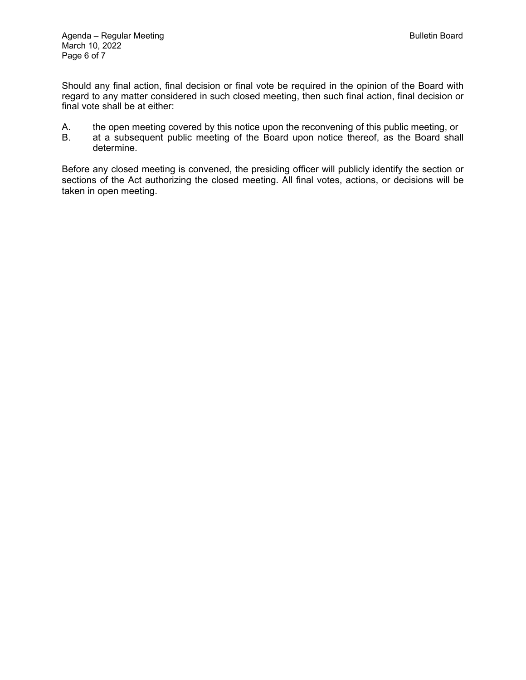Should any final action, final decision or final vote be required in the opinion of the Board with regard to any matter considered in such closed meeting, then such final action, final decision or final vote shall be at either:

- A. the open meeting covered by this notice upon the reconvening of this public meeting, or<br>B. at a subsequent public meeting of the Board upon notice thereof, as the Board shall
- at a subsequent public meeting of the Board upon notice thereof, as the Board shall determine.

Before any closed meeting is convened, the presiding officer will publicly identify the section or sections of the Act authorizing the closed meeting. All final votes, actions, or decisions will be taken in open meeting.